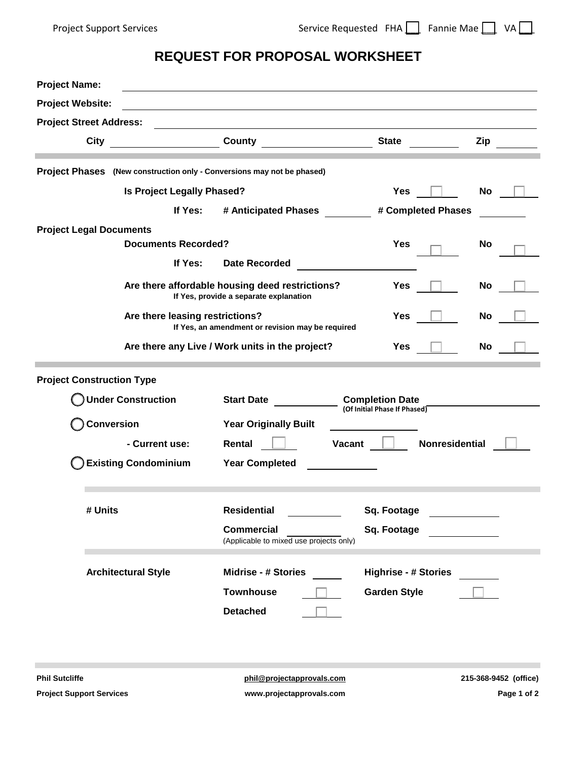## **REQUEST FOR PROPOSAL WORKSHEET**

| <b>Project Website:</b><br><u> 1980 - Johann Barn, amerikansk politiker (d. 1980)</u><br><b>Project Street Address:</b><br><b>City</b><br>County<br><b>State</b><br>Zip<br>Project Phases (New construction only - Conversions may not be phased)<br>Is Project Legally Phased?<br>No<br><b>Yes</b><br>If Yes:<br># Anticipated Phases<br># Completed Phases<br><b>Project Legal Documents</b><br><b>Documents Recorded?</b><br><b>Yes</b><br><b>No</b><br>If Yes:<br><b>Date Recorded</b><br>Are there affordable housing deed restrictions?<br>No<br><b>Yes</b><br>If Yes, provide a separate explanation<br>Are there leasing restrictions?<br>Yes<br>No<br>If Yes, an amendment or revision may be required<br>No<br>Are there any Live / Work units in the project?<br>Yes<br><b>Project Construction Type</b><br><b>Under Construction</b><br><b>Completion Date</b><br><b>Start Date</b><br>(Of Initial Phase If Phased)<br><b>Conversion</b><br><b>Year Originally Built</b><br>Nonresidential<br>Vacant<br>- Current use:<br>Rental<br><b>Existing Condominium</b><br><b>Year Completed</b><br><b>Residential</b><br># Units<br>Sq. Footage<br><b>Commercial</b><br>Sq. Footage<br>(Applicable to mixed use projects only)<br><b>Architectural Style</b><br><b>Midrise - # Stories</b><br><b>Highrise - # Stories</b><br><b>Townhouse</b><br><b>Garden Style</b><br><b>Detached</b> | <b>Project Name:</b> |  |  |  |
|----------------------------------------------------------------------------------------------------------------------------------------------------------------------------------------------------------------------------------------------------------------------------------------------------------------------------------------------------------------------------------------------------------------------------------------------------------------------------------------------------------------------------------------------------------------------------------------------------------------------------------------------------------------------------------------------------------------------------------------------------------------------------------------------------------------------------------------------------------------------------------------------------------------------------------------------------------------------------------------------------------------------------------------------------------------------------------------------------------------------------------------------------------------------------------------------------------------------------------------------------------------------------------------------------------------------------------------------------------------------------------------------|----------------------|--|--|--|
|                                                                                                                                                                                                                                                                                                                                                                                                                                                                                                                                                                                                                                                                                                                                                                                                                                                                                                                                                                                                                                                                                                                                                                                                                                                                                                                                                                                              |                      |  |  |  |
|                                                                                                                                                                                                                                                                                                                                                                                                                                                                                                                                                                                                                                                                                                                                                                                                                                                                                                                                                                                                                                                                                                                                                                                                                                                                                                                                                                                              |                      |  |  |  |
|                                                                                                                                                                                                                                                                                                                                                                                                                                                                                                                                                                                                                                                                                                                                                                                                                                                                                                                                                                                                                                                                                                                                                                                                                                                                                                                                                                                              |                      |  |  |  |
|                                                                                                                                                                                                                                                                                                                                                                                                                                                                                                                                                                                                                                                                                                                                                                                                                                                                                                                                                                                                                                                                                                                                                                                                                                                                                                                                                                                              |                      |  |  |  |
|                                                                                                                                                                                                                                                                                                                                                                                                                                                                                                                                                                                                                                                                                                                                                                                                                                                                                                                                                                                                                                                                                                                                                                                                                                                                                                                                                                                              |                      |  |  |  |
|                                                                                                                                                                                                                                                                                                                                                                                                                                                                                                                                                                                                                                                                                                                                                                                                                                                                                                                                                                                                                                                                                                                                                                                                                                                                                                                                                                                              |                      |  |  |  |
|                                                                                                                                                                                                                                                                                                                                                                                                                                                                                                                                                                                                                                                                                                                                                                                                                                                                                                                                                                                                                                                                                                                                                                                                                                                                                                                                                                                              |                      |  |  |  |
|                                                                                                                                                                                                                                                                                                                                                                                                                                                                                                                                                                                                                                                                                                                                                                                                                                                                                                                                                                                                                                                                                                                                                                                                                                                                                                                                                                                              |                      |  |  |  |
|                                                                                                                                                                                                                                                                                                                                                                                                                                                                                                                                                                                                                                                                                                                                                                                                                                                                                                                                                                                                                                                                                                                                                                                                                                                                                                                                                                                              |                      |  |  |  |
|                                                                                                                                                                                                                                                                                                                                                                                                                                                                                                                                                                                                                                                                                                                                                                                                                                                                                                                                                                                                                                                                                                                                                                                                                                                                                                                                                                                              |                      |  |  |  |
|                                                                                                                                                                                                                                                                                                                                                                                                                                                                                                                                                                                                                                                                                                                                                                                                                                                                                                                                                                                                                                                                                                                                                                                                                                                                                                                                                                                              |                      |  |  |  |
|                                                                                                                                                                                                                                                                                                                                                                                                                                                                                                                                                                                                                                                                                                                                                                                                                                                                                                                                                                                                                                                                                                                                                                                                                                                                                                                                                                                              |                      |  |  |  |
|                                                                                                                                                                                                                                                                                                                                                                                                                                                                                                                                                                                                                                                                                                                                                                                                                                                                                                                                                                                                                                                                                                                                                                                                                                                                                                                                                                                              |                      |  |  |  |
|                                                                                                                                                                                                                                                                                                                                                                                                                                                                                                                                                                                                                                                                                                                                                                                                                                                                                                                                                                                                                                                                                                                                                                                                                                                                                                                                                                                              |                      |  |  |  |
|                                                                                                                                                                                                                                                                                                                                                                                                                                                                                                                                                                                                                                                                                                                                                                                                                                                                                                                                                                                                                                                                                                                                                                                                                                                                                                                                                                                              |                      |  |  |  |
|                                                                                                                                                                                                                                                                                                                                                                                                                                                                                                                                                                                                                                                                                                                                                                                                                                                                                                                                                                                                                                                                                                                                                                                                                                                                                                                                                                                              |                      |  |  |  |
|                                                                                                                                                                                                                                                                                                                                                                                                                                                                                                                                                                                                                                                                                                                                                                                                                                                                                                                                                                                                                                                                                                                                                                                                                                                                                                                                                                                              |                      |  |  |  |
|                                                                                                                                                                                                                                                                                                                                                                                                                                                                                                                                                                                                                                                                                                                                                                                                                                                                                                                                                                                                                                                                                                                                                                                                                                                                                                                                                                                              |                      |  |  |  |
|                                                                                                                                                                                                                                                                                                                                                                                                                                                                                                                                                                                                                                                                                                                                                                                                                                                                                                                                                                                                                                                                                                                                                                                                                                                                                                                                                                                              |                      |  |  |  |
|                                                                                                                                                                                                                                                                                                                                                                                                                                                                                                                                                                                                                                                                                                                                                                                                                                                                                                                                                                                                                                                                                                                                                                                                                                                                                                                                                                                              |                      |  |  |  |
|                                                                                                                                                                                                                                                                                                                                                                                                                                                                                                                                                                                                                                                                                                                                                                                                                                                                                                                                                                                                                                                                                                                                                                                                                                                                                                                                                                                              |                      |  |  |  |
|                                                                                                                                                                                                                                                                                                                                                                                                                                                                                                                                                                                                                                                                                                                                                                                                                                                                                                                                                                                                                                                                                                                                                                                                                                                                                                                                                                                              |                      |  |  |  |
|                                                                                                                                                                                                                                                                                                                                                                                                                                                                                                                                                                                                                                                                                                                                                                                                                                                                                                                                                                                                                                                                                                                                                                                                                                                                                                                                                                                              |                      |  |  |  |
|                                                                                                                                                                                                                                                                                                                                                                                                                                                                                                                                                                                                                                                                                                                                                                                                                                                                                                                                                                                                                                                                                                                                                                                                                                                                                                                                                                                              |                      |  |  |  |
| <b>Phil Sutcliffe</b><br>phil@projectapprovals.com<br>215-368-9452 (office)                                                                                                                                                                                                                                                                                                                                                                                                                                                                                                                                                                                                                                                                                                                                                                                                                                                                                                                                                                                                                                                                                                                                                                                                                                                                                                                  |                      |  |  |  |